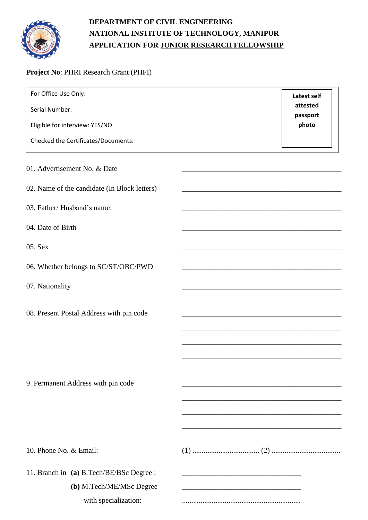

## **DEPARTMENT OF CIVIL ENGINEERING NATIONAL INSTITUTE OF TECHNOLOGY, MANIPUR APPLICATION FOR JUNIOR RESEARCH FELLOWSHIP**

## **Project No**: PHRI Research Grant (PHFI)

| For Office Use Only:                         | Latest self          |
|----------------------------------------------|----------------------|
| Serial Number:                               | attested<br>passport |
| Eligible for interview: YES/NO               | photo                |
| Checked the Certificates/Documents:          |                      |
| 01. Advertisement No. & Date                 |                      |
| 02. Name of the candidate (In Block letters) |                      |
| 03. Father/Husband's name:                   |                      |
| 04. Date of Birth                            |                      |
| 05. Sex                                      |                      |
| 06. Whether belongs to SC/ST/OBC/PWD         |                      |
| 07. Nationality                              |                      |
| 08. Present Postal Address with pin code     |                      |
|                                              |                      |
|                                              |                      |
| 9. Permanent Address with pin code           |                      |
|                                              |                      |
|                                              |                      |
|                                              |                      |
| 10. Phone No. & Email:                       |                      |
| 11. Branch in (a) B.Tech/BE/BSc Degree :     |                      |
| (b) M.Tech/ME/MSc Degree                     |                      |
| with specialization:                         |                      |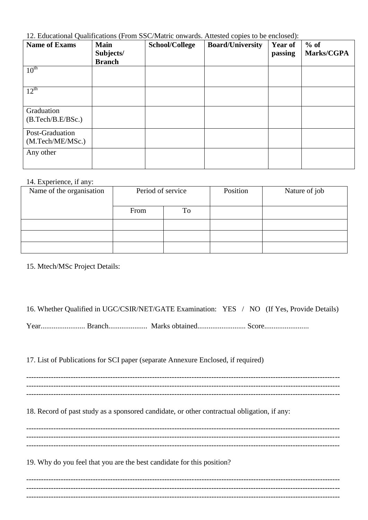12. Educational Qualifications (From SSC/Matric onwards. Attested copies to be enclosed):

| <b>Name of Exams</b>                | <b>Main</b><br>Subjects/<br><b>Branch</b> | <b>School/College</b> | <b>Board/University</b> | <b>Year of</b><br>passing | $%$ of<br>Marks/CGPA |
|-------------------------------------|-------------------------------------------|-----------------------|-------------------------|---------------------------|----------------------|
| $10^{\text{th}}$                    |                                           |                       |                         |                           |                      |
| $12^{\text{th}}$                    |                                           |                       |                         |                           |                      |
| Graduation<br>(B.Tech/B.E/BSc.)     |                                           |                       |                         |                           |                      |
| Post-Graduation<br>(M.Tech/ME/MSc.) |                                           |                       |                         |                           |                      |
| Any other                           |                                           |                       |                         |                           |                      |

## 14. Experience, if any:

| Name of the organisation | Period of service |    | Position | Nature of job |
|--------------------------|-------------------|----|----------|---------------|
|                          | From              | To |          |               |
|                          |                   |    |          |               |
|                          |                   |    |          |               |
|                          |                   |    |          |               |

## 15. Mtech/MSc Project Details:

| 16. Whether Qualified in UGC/CSIR/NET/GATE Examination: YES / NO (If Yes, Provide Details) |  |  |  |
|--------------------------------------------------------------------------------------------|--|--|--|
|--------------------------------------------------------------------------------------------|--|--|--|

Year........................ Branch..................... Marks obtained.......................... Score........................

17. List of Publications for SCI paper (separate Annexure Enclosed, if required)

------------------------------------------------------------------------------------------------------------------------------- ------------------------------------------------------------------------------------------------------------------------------- -------------------------------------------------------------------------------------------------------------------------------

18. Record of past study as a sponsored candidate, or other contractual obligation, if any:

------------------------------------------------------------------------------------------------------------------------------- ------------------------------------------------------------------------------------------------------------------------------- -------------------------------------------------------------------------------------------------------------------------------

19. Why do you feel that you are the best candidate for this position?

------------------------------------------------------------------------------------------------------------------------------- ------------------------------------------------------------------------------------------------------------------------------- -------------------------------------------------------------------------------------------------------------------------------